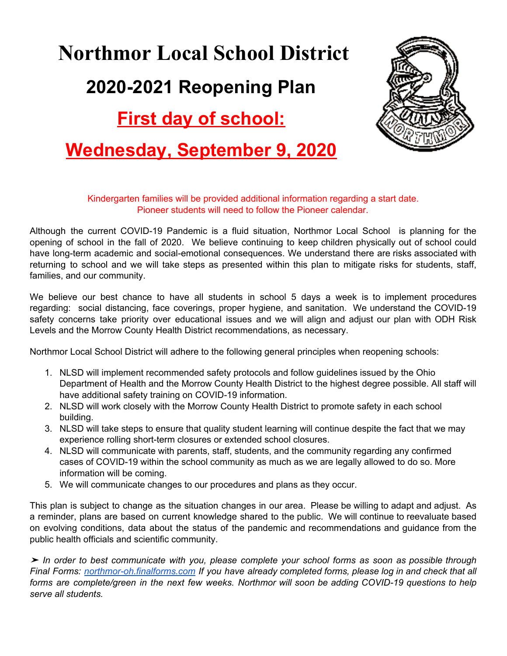# **Northmor Local School District First day of school: Wednesday, September 9, 2020 2020-2021 Reopening Plan**



#### Kindergarten families will be provided additional information regarding a start date. Pioneer students will need to follow the Pioneer calendar.

 families, and our community. Although the current COVID-19 Pandemic is a fluid situation, Northmor Local School is planning for the opening of school in the fall of 2020. We believe continuing to keep children physically out of school could have long-term academic and social-emotional consequences. We understand there are risks associated with returning to school and we will take steps as presented within this plan to mitigate risks for students, staff,

 Levels and the Morrow County Health District recommendations, as necessary. We believe our best chance to have all students in school 5 days a week is to implement procedures regarding: social distancing, face coverings, proper hygiene, and sanitation. We understand the COVID-19 safety concerns take priority over educational issues and we will align and adjust our plan with ODH Risk

Northmor Local School District will adhere to the following general principles when reopening schools:

- 1. NLSD will implement recommended safety protocols and follow guidelines issued by the Ohio Department of Health and the Morrow County Health District to the highest degree possible. All staff will have additional safety training on COVID-19 information.
- 2. NLSD will work closely with the Morrow County Health District to promote safety in each school building.
- 3. NLSD will take steps to ensure that quality student learning will continue despite the fact that we may experience rolling short-term closures or extended school closures.
- 4. NLSD will communicate with parents, staff, students, and the community regarding any confirmed cases of COVID-19 within the school community as much as we are legally allowed to do so. More information will be coming.
- 5. We will communicate changes to our procedures and plans as they occur.

 public health officials and scientific community. This plan is subject to change as the situation changes in our area. Please be willing to adapt and adjust. As a reminder, plans are based on current knowledge shared to the public. We will continue to reevaluate based on evolving conditions, data about the status of the pandemic and recommendations and guidance from the

 *serve all students.*➤ *In order to best communicate with you, please complete your school forms as soon as possible through Final Forms: [northmor-oh.finalforms.com](https://northmor-oh.finalforms.com/) If you have already completed forms, please log in and check that all forms are complete/green in the next few weeks. Northmor will soon be adding COVID-19 questions to help*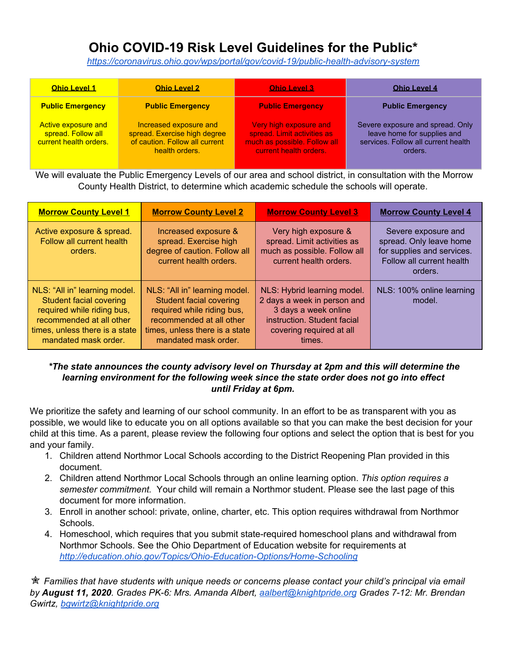# **Ohio COVID-19 Risk Level Guidelines for the Public\***

*<https://coronavirus.ohio.gov/wps/portal/gov/covid-19/public-health-advisory-system>*

| <b>Ohio Level 1</b>                                                 | <b>Ohio Level 2</b>                                                                                        | <b>Ohio Level 3</b>                                                                                             | <b>Ohio Level 4</b>                                                                                               |
|---------------------------------------------------------------------|------------------------------------------------------------------------------------------------------------|-----------------------------------------------------------------------------------------------------------------|-------------------------------------------------------------------------------------------------------------------|
| <b>Public Emergency</b>                                             | <b>Public Emergency</b>                                                                                    | <b>Public Emergency</b>                                                                                         | <b>Public Emergency</b>                                                                                           |
| Active exposure and<br>spread. Follow all<br>current health orders. | Increased exposure and<br>spread. Exercise high degree<br>of caution. Follow all current<br>health orders. | Very high exposure and<br>spread. Limit activities as<br>much as possible. Follow all<br>current health orders. | Severe exposure and spread. Only<br>leave home for supplies and<br>services. Follow all current health<br>orders. |

 We will evaluate the Public Emergency Levels of our area and school district, in consultation with the Morrow County Health District, to determine which academic schedule the schools will operate.

| <b>Morrow County Level 1</b>                                                                                                                                                        | <b>Morrow County Level 2</b>                                                                                                                                                        | <b>Morrow County Level 3</b>                                                                                                                            | <b>Morrow County Level 4</b>                                                                                         |
|-------------------------------------------------------------------------------------------------------------------------------------------------------------------------------------|-------------------------------------------------------------------------------------------------------------------------------------------------------------------------------------|---------------------------------------------------------------------------------------------------------------------------------------------------------|----------------------------------------------------------------------------------------------------------------------|
| Active exposure & spread.<br>Follow all current health<br>orders.                                                                                                                   | Increased exposure &<br>spread. Exercise high<br>degree of caution. Follow all<br>current health orders.                                                                            | Very high exposure &<br>spread. Limit activities as<br>much as possible. Follow all<br>current health orders.                                           | Severe exposure and<br>spread. Only leave home<br>for supplies and services.<br>Follow all current health<br>orders. |
| NLS: "All in" learning model.<br><b>Student facial covering</b><br>required while riding bus,<br>recommended at all other<br>times, unless there is a state<br>mandated mask order. | NLS: "All in" learning model.<br><b>Student facial covering</b><br>required while riding bus,<br>recommended at all other<br>times, unless there is a state<br>mandated mask order. | NLS: Hybrid learning model.<br>2 days a week in person and<br>3 days a week online<br>instruction. Student facial<br>covering required at all<br>times. | NLS: 100% online learning<br>model.                                                                                  |

#### *\*The state announces the county advisory level on Thursday at 2pm and this will determine the learning environment for the following week since the state order does not go into effect until Friday at 6pm.*

 We prioritize the safety and learning of our school community. In an effort to be as transparent with you as possible, we would like to educate you on all options available so that you can make the best decision for your child at this time. As a parent, please review the following four options and select the option that is best for you and your family.

- 1. Children attend Northmor Local Schools according to the District Reopening Plan provided in this document.
- 2. Children attend Northmor Local Schools through an online learning option. *This option requires a semester commitment.* Your child will remain a Northmor student. Please see the last page of this document for more information.
- 3. Enroll in another school: private, online, charter, etc. This option requires withdrawal from Northmor Schools.
- 4. Homeschool, which requires that you submit state-required homeschool plans and withdrawal from Northmor Schools. See the Ohio Department of Education website for requirements at *<http://education.ohio.gov/Topics/Ohio-Education-Options/Home-Schooling>*

<sup>★</sup> Families that have students with unique needs or concerns please contact your child's principal via email  *by August 11, 2020. Grades PK-6: Mrs. Amanda Albert, [aalbert@knightpride.org](mailto:aalbert@knightpride.org) Grades 7-12: Mr. Brendan Gwirtz, [bgwirtz@knightpride.org](mailto:bgwirtz@knightpride.org)*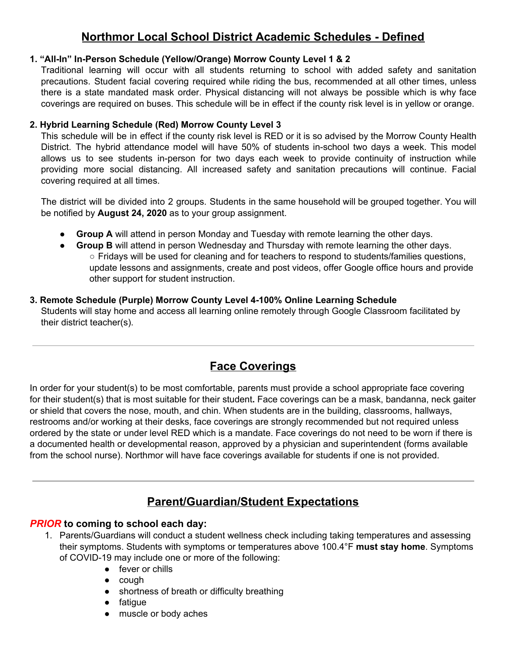# **Northmor Local School District Academic Schedules - Defined**

#### **1. "All-In" In-Person Schedule (Yellow/Orange) Morrow County Level 1 & 2**

 coverings are required on buses. This schedule will be in effect if the county risk level is in yellow or orange. Traditional learning will occur with all students returning to school with added safety and sanitation precautions. Student facial covering required while riding the bus, recommended at all other times, unless there is a state mandated mask order. Physical distancing will not always be possible which is why face

#### **2. Hybrid Learning Schedule (Red) Morrow County Level 3**

 covering required at all times. This schedule will be in effect if the county risk level is RED or it is so advised by the Morrow County Health District. The hybrid attendance model will have 50% of students in-school two days a week. This model allows us to see students in-person for two days each week to provide continuity of instruction while providing more social distancing. All increased safety and sanitation precautions will continue. Facial

 be notified by **August 24, 2020** as to your group assignment. The district will be divided into 2 groups. Students in the same household will be grouped together. You will

- **Group A** will attend in person Monday and Tuesday with remote learning the other days.
- ● **Group B** will attend in person Wednesday and Thursday with remote learning the other days. ○ Fridays will be used for cleaning and for teachers to respond to students/families questions, update lessons and assignments, create and post videos, offer Google office hours and provide other support for student instruction.

#### **3. Remote Schedule (Purple) Morrow County Level 4-100% Online Learning Schedule** Students will stay home and access all learning online remotely through Google Classroom facilitated by their district teacher(s).

# **Face Coverings**

 In order for your student(s) to be most comfortable, parents must provide a school appropriate face covering for their student(s) that is most suitable for their student**.** Face coverings can be a mask, bandanna, neck gaiter or shield that covers the nose, mouth, and chin. When students are in the building, classrooms, hallways, restrooms and/or working at their desks, face coverings are strongly recommended but not required unless ordered by the state or under level RED which is a mandate. Face coverings do not need to be worn if there is a documented health or developmental reason, approved by a physician and superintendent (forms available from the school nurse). Northmor will have face coverings available for students if one is not provided.

# **Parent/Guardian/Student Expectations**

#### *PRIOR* **to coming to school each day:**

- 1. Parents/Guardians will conduct a student wellness check including taking temperatures and assessing their symptoms. Students with symptoms or temperatures above 100.4°F **must stay home**. Symptoms of COVID-19 may include one or more of the following:
	- fever or chills
	- cough
	- shortness of breath or difficulty breathing
	- fatigue
	- muscle or body aches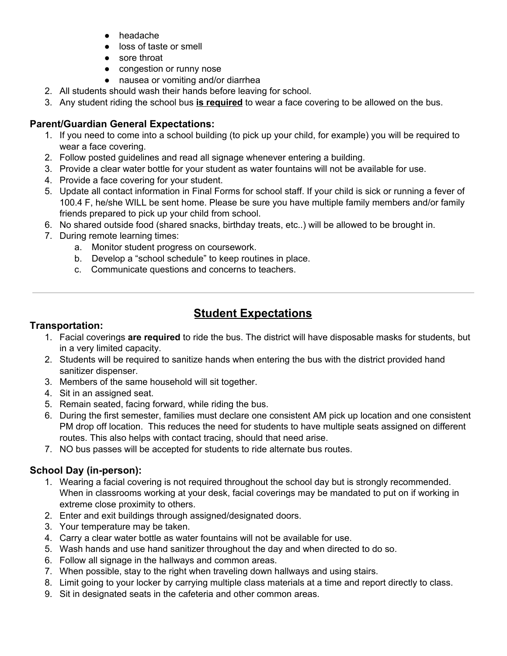- headache
- loss of taste or smell
- sore throat
- congestion or runny nose
- nausea or vomiting and/or diarrhea
- 2. All students should wash their hands before leaving for school.
- 3. Any student riding the school bus **is required** to wear a face covering to be allowed on the bus.

#### **Parent/Guardian General Expectations:**

- 1. If you need to come into a school building (to pick up your child, for example) you will be required to wear a face covering.
- 2. Follow posted guidelines and read all signage whenever entering a building.
- 3. Provide a clear water bottle for your student as water fountains will not be available for use.
- 4. Provide a face covering for your student.
- 5. Update all contact information in Final Forms for school staff. If your child is sick or running a fever of 100.4 F, he/she WILL be sent home. Please be sure you have multiple family members and/or family friends prepared to pick up your child from school.
- 6. No shared outside food (shared snacks, birthday treats, etc..) will be allowed to be brought in.
- 7. During remote learning times:
	- a. Monitor student progress on coursework.
	- b. Develop a "school schedule" to keep routines in place.
	- c. Communicate questions and concerns to teachers.

# **Student Expectations**

#### **Transportation:**

- 1. Facial coverings **are required** to ride the bus. The district will have disposable masks for students, but in a very limited capacity.
- 2. Students will be required to sanitize hands when entering the bus with the district provided hand sanitizer dispenser.
- 3. Members of the same household will sit together.
- 4. Sit in an assigned seat.
- 5. Remain seated, facing forward, while riding the bus.
- 6. During the first semester, families must declare one consistent AM pick up location and one consistent PM drop off location. This reduces the need for students to have multiple seats assigned on different routes. This also helps with contact tracing, should that need arise.
- 7. NO bus passes will be accepted for students to ride alternate bus routes.

#### **School Day (in-person):**

- 1. Wearing a facial covering is not required throughout the school day but is strongly recommended. When in classrooms working at your desk, facial coverings may be mandated to put on if working in extreme close proximity to others.
- 2. Enter and exit buildings through assigned/designated doors.
- 3. Your temperature may be taken.
- 4. Carry a clear water bottle as water fountains will not be available for use.
- 5. Wash hands and use hand sanitizer throughout the day and when directed to do so.
- 6. Follow all signage in the hallways and common areas.
- 7. When possible, stay to the right when traveling down hallways and using stairs.
- 8. Limit going to your locker by carrying multiple class materials at a time and report directly to class.
- 9. Sit in designated seats in the cafeteria and other common areas.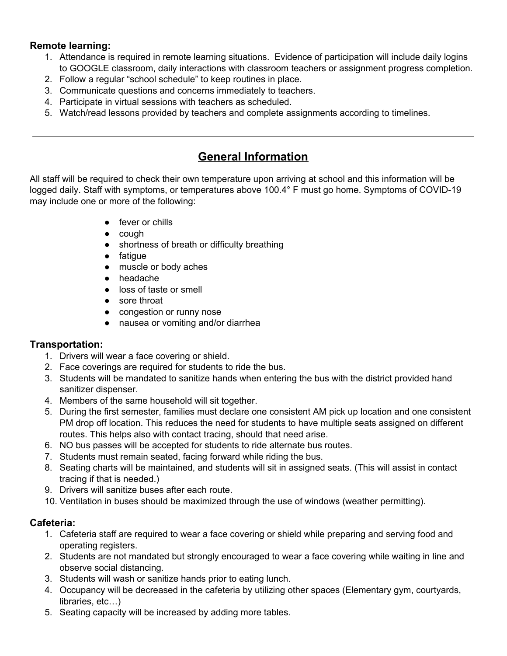#### **Remote learning:**

- 1. Attendance is required in remote learning situations. Evidence of participation will include daily logins to GOOGLE classroom, daily interactions with classroom teachers or assignment progress completion.
- 2. Follow a regular "school schedule" to keep routines in place.
- 3. Communicate questions and concerns immediately to teachers.
- 4. Participate in virtual sessions with teachers as scheduled.
- 5. Watch/read lessons provided by teachers and complete assignments according to timelines.

### **General Information**

 All staff will be required to check their own temperature upon arriving at school and this information will be logged daily. Staff with symptoms, or temperatures above 100.4° F must go home. Symptoms of COVID-19 may include one or more of the following:

- fever or chills
- cough
- shortness of breath or difficulty breathing
- fatigue
- muscle or body aches
- headache
- loss of taste or smell
- sore throat
- congestion or runny nose
- nausea or vomiting and/or diarrhea

#### **Transportation:**

- 1. Drivers will wear a face covering or shield.
- 2. Face coverings are required for students to ride the bus.
- 3. Students will be mandated to sanitize hands when entering the bus with the district provided hand sanitizer dispenser.
- 4. Members of the same household will sit together.
- 5. During the first semester, families must declare one consistent AM pick up location and one consistent PM drop off location. This reduces the need for students to have multiple seats assigned on different routes. This helps also with contact tracing, should that need arise.
- 6. NO bus passes will be accepted for students to ride alternate bus routes.
- 7. Students must remain seated, facing forward while riding the bus.
- 8. Seating charts will be maintained, and students will sit in assigned seats. (This will assist in contact tracing if that is needed.)
- 9. Drivers will sanitize buses after each route.
- 10. Ventilation in buses should be maximized through the use of windows (weather permitting).

#### **Cafeteria:**

- 1. Cafeteria staff are required to wear a face covering or shield while preparing and serving food and operating registers.
- 2. Students are not mandated but strongly encouraged to wear a face covering while waiting in line and observe social distancing.
- 3. Students will wash or sanitize hands prior to eating lunch.
- 4. Occupancy will be decreased in the cafeteria by utilizing other spaces (Elementary gym, courtyards, libraries, etc…)
- 5. Seating capacity will be increased by adding more tables.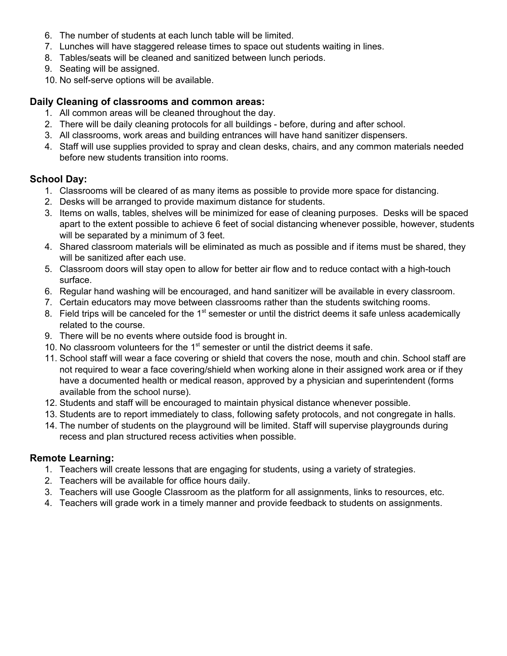- 6. The number of students at each lunch table will be limited.
- 7. Lunches will have staggered release times to space out students waiting in lines.
- 8. Tables/seats will be cleaned and sanitized between lunch periods.
- 9. Seating will be assigned.
- 10. No self-serve options will be available.

#### **Daily Cleaning of classrooms and common areas:**

- 1. All common areas will be cleaned throughout the day.
- 2. There will be daily cleaning protocols for all buildings before, during and after school.
- 3. All classrooms, work areas and building entrances will have hand sanitizer dispensers.
- 4. Staff will use supplies provided to spray and clean desks, chairs, and any common materials needed before new students transition into rooms.

#### **School Day:**

- 1. Classrooms will be cleared of as many items as possible to provide more space for distancing.
- 2. Desks will be arranged to provide maximum distance for students.
- 3. Items on walls, tables, shelves will be minimized for ease of cleaning purposes. Desks will be spaced apart to the extent possible to achieve 6 feet of social distancing whenever possible, however, students will be separated by a minimum of 3 feet.
- 4. Shared classroom materials will be eliminated as much as possible and if items must be shared, they will be sanitized after each use.
- 5. Classroom doors will stay open to allow for better air flow and to reduce contact with a high-touch surface.
- 6. Regular hand washing will be encouraged, and hand sanitizer will be available in every classroom.
- 7. Certain educators may move between classrooms rather than the students switching rooms.
- 8. Field trips will be canceled for the 1<sup>st</sup> semester or until the district deems it safe unless academically related to the course.
- 9. There will be no events where outside food is brought in.
- 10. No classroom volunteers for the  $1<sup>st</sup>$  semester or until the district deems it safe.
- 11. School staff will wear a face covering or shield that covers the nose, mouth and chin. School staff are not required to wear a face covering/shield when working alone in their assigned work area or if they have a documented health or medical reason, approved by a physician and superintendent (forms available from the school nurse).
- 12. Students and staff will be encouraged to maintain physical distance whenever possible.
- 13. Students are to report immediately to class, following safety protocols, and not congregate in halls.
- 14. The number of students on the playground will be limited. Staff will supervise playgrounds during recess and plan structured recess activities when possible.

#### **Remote Learning:**

- 1. Teachers will create lessons that are engaging for students, using a variety of strategies.
- 2. Teachers will be available for office hours daily.
- 3. Teachers will use Google Classroom as the platform for all assignments, links to resources, etc.
- 4. Teachers will grade work in a timely manner and provide feedback to students on assignments.